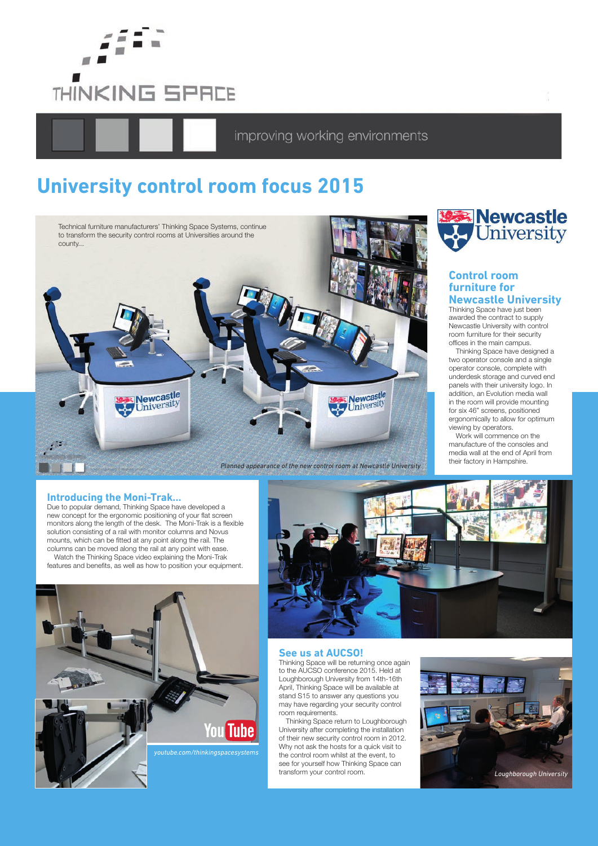

improving working environments

# **University control room focus 2015**





### **Control room furniture for Newcastle University**

Thinking Space have just been awarded the contract to supply Newcastle University with control room furniture for their security offices in the main campus.

Thinking Space have designed a two operator console and a single operator console, complete with underdesk storage and curved end panels with their university logo. In addition, an Evolution media wall in the room will provide mounting for six 46" screens, positioned ergonomically to allow for optimum viewing by operators.

Work will commence on the manufacture of the consoles and media wall at the end of April from

# **Introducing the Moni-Trak...**

Due to popular demand, Thinking Space have developed a new concept for the ergonomic positioning of your flat screen monitors along the length of the desk. The Moni-Trak is a flexible solution consisting of a rail with monitor columns and Novus mounts, which can be fitted at any point along the rail. The columns can be moved along the rail at any point with ease. Watch the Thinking Space video explaining the Moni-Trak

features and benefits, as well as how to position your equipment.





### **See us at AUCSO!**

Thinking Space will be returning once again to the AUCSO conference 2015. Held at Loughborough University from 14th-16th April, Thinking Space will be available at stand S15 to answer any questions you may have regarding your security control room requirements.

Thinking Space return to Loughborough University after completing the installation of their new security control room in 2012. Why not ask the hosts for a quick visit to the control room whilst at the event, to see for yourself how Thinking Space can transform your control room.